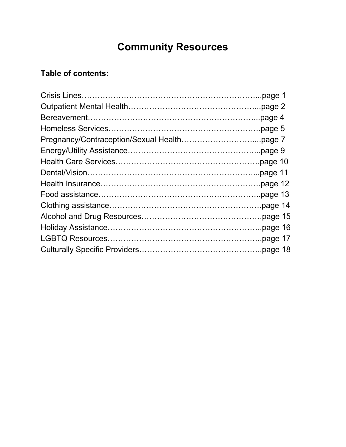# **Community Resources**

# **Table of contents:**

| page 1.  |
|----------|
|          |
|          |
|          |
|          |
|          |
|          |
| page 11. |
|          |
|          |
| page 14  |
| page 15  |
| page 16  |
|          |
|          |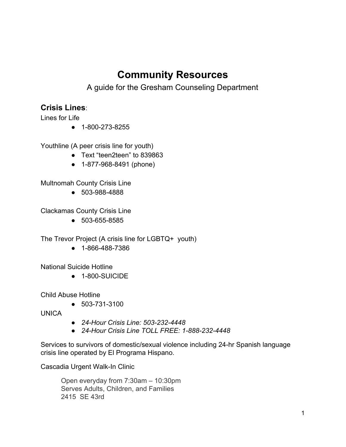# **Community Resources**

A guide for the Gresham Counseling Department

## **Crisis Lines**:

Lines for Life

● 1-800-273-8255

Youthline (A peer crisis line for youth)

- Text "teen2teen" to 839863
- 1-877-968-8491 (phone)

Multnomah County Crisis Line

● 503-988-4888

Clackamas County Crisis Line

● 503-655-8585

The Trevor Project (A crisis line for LGBTQ+ youth)

● 1-866-488-7386

National Suicide Hotline

● 1-800-SUICIDE

Child Abuse Hotline

● 503-731-3100

UNICA

- *24-Hour Crisis Line: 503-232-4448*
- *24-Hour Crisis Line TOLL FREE: 1-888-232-4448*

Services to survivors of domestic/sexual violence including 24-hr Spanish language crisis line operated by El Programa Hispano.

Cascadia Urgent Walk-In Clinic

Open everyday from 7:30am – 10:30pm Serves Adults, Children, and Families 2415 SE 43rd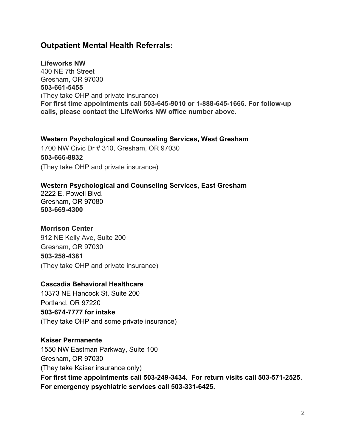## **Outpatient Mental Health Referrals:**

**Lifeworks NW** 400 NE 7th Street Gresham, OR 97030 **503-661-5455** (They take OHP and private insurance) **For first time appointments call 503-645-9010 or 1-888-645-1666. For follow-up calls, please contact the LifeWorks NW office number above.**

#### **Western Psychological and Counseling Services, West Gresham**

1700 NW Civic Dr # 310, Gresham, OR 97030 **503-666-8832** (They take OHP and private insurance)

#### **Western Psychological and Counseling Services, East Gresham**

2222 E. Powell Blvd. Gresham, OR 97080 **503-669-4300**

#### **Morrison Center**

912 NE Kelly Ave, Suite 200 Gresham, OR 97030 **503-258-4381** (They take OHP and private insurance)

#### **Cascadia Behavioral Healthcare**

10373 NE Hancock St, Suite 200 Portland, OR 97220 **503-674-7777 for intake** (They take OHP and some private insurance)

#### **Kaiser Permanente**

1550 NW Eastman Parkway, Suite 100 Gresham, OR 97030 (They take Kaiser insurance only) **For first time appointments call 503-249-3434. For return visits call 503-571-2525. For emergency psychiatric services call 503-331-6425.**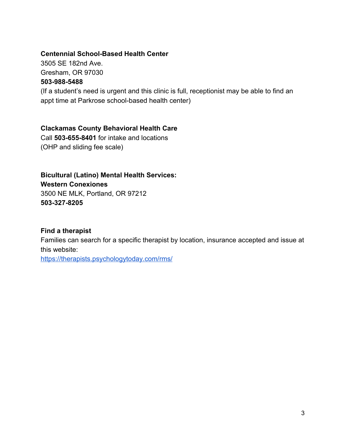#### **Centennial School-Based Health Center**

3505 SE 182nd Ave. Gresham, OR 97030 **503-988-5488**

(If a student's need is urgent and this clinic is full, receptionist may be able to find an appt time at Parkrose school-based health center)

#### **Clackamas County Behavioral Health Care**

Call **503-655-8401** for intake and locations (OHP and sliding fee scale)

#### **Bicultural (Latino) Mental Health Services:**

**Western Conexiones** 3500 NE MLK, Portland, OR 97212 **503-327-8205**

#### **Find a therapist**

Families can search for a specific therapist by location, insurance accepted and issue at this website:

<https://therapists.psychologytoday.com/rms/>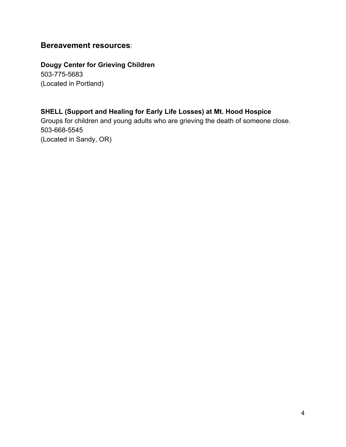## **Bereavement resources**:

**Dougy Center for Grieving Children** 503-775-5683 (Located in Portland)

#### **SHELL (Support and Healing for Early Life Losses) at Mt. Hood Hospice**

Groups for children and young adults who are grieving the death of someone close. 503-668-5545 (Located in Sandy, OR)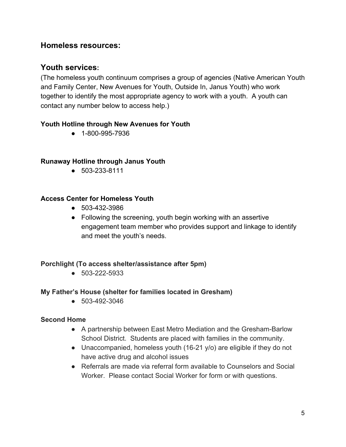## **Homeless resources:**

## **Youth services:**

(The homeless youth continuum comprises a group of agencies (Native American Youth and Family Center, New Avenues for Youth, Outside In, Janus Youth) who work together to identify the most appropriate agency to work with a youth. A youth can contact any number below to access help.)

#### **Youth Hotline through New Avenues for Youth**

● 1-800-995-7936

#### **Runaway Hotline through Janus Youth**

● 503-233-8111

#### **Access Center for Homeless Youth**

- 503-432-3986
- Following the screening, youth begin working with an assertive engagement team member who provides support and linkage to identify and meet the youth's needs.

#### **Porchlight (To access shelter/assistance after 5pm)**

● 503-222-5933

#### **My Father's House (shelter for families located in Gresham)**

● 503-492-3046

#### **Second Home**

- A partnership between East Metro Mediation and the Gresham-Barlow School District. Students are placed with families in the community.
- Unaccompanied, homeless youth (16-21 y/o) are eligible if they do not have active drug and alcohol issues
- Referrals are made via referral form available to Counselors and Social Worker. Please contact Social Worker for form or with questions.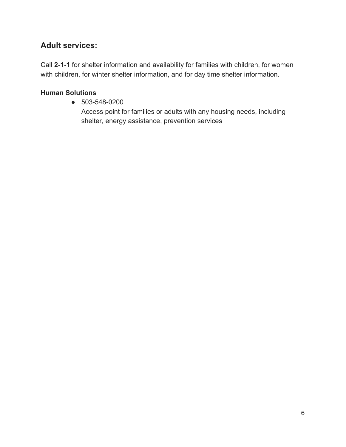# **Adult services:**

Call **2-1-1** for shelter information and availability for families with children, for women with children, for winter shelter information, and for day time shelter information.

## **Human Solutions**

● 503-548-0200

Access point for families or adults with any housing needs, including shelter, energy assistance, prevention services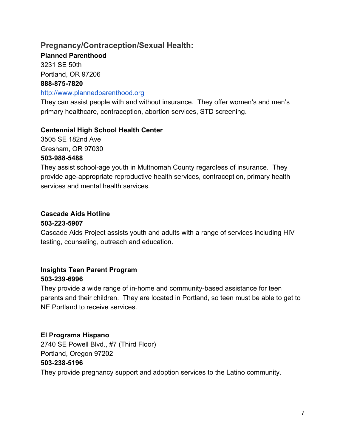# **Pregnancy/Contraception/Sexual Health:**

**Planned Parenthood**

3231 SE 50th Portland, OR 97206 **888-875-7820**

#### [http://www.plannedparenthood.org](http://www.plannedparenthood.org/)

They can assist people with and without insurance. They offer women's and men's primary healthcare, contraception, abortion services, STD screening.

#### **Centennial High School Health Center**

3505 SE 182nd Ave Gresham, OR 97030

#### **503-988-5488**

They assist school-age youth in Multnomah County regardless of insurance. They provide age-appropriate reproductive health services, contraception, primary health services and mental health services.

## **Cascade Aids Hotline**

#### **503-223-5907**

Cascade Aids Project assists youth and adults with a range of services including HIV testing, counseling, outreach and education.

## **Insights Teen Parent Program 503-239-6996**

They provide a wide range of in-home and community-based assistance for teen parents and their children. They are located in Portland, so teen must be able to get to NE Portland to receive services.

## **El Programa Hispano**

2740 SE Powell Blvd., #7 (Third Floor) Portland, Oregon 97202 **503-238-5196** They provide pregnancy support and adoption services to the Latino community.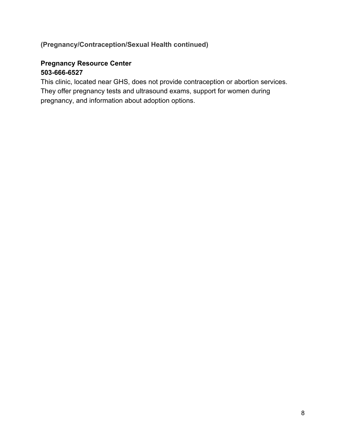## **(Pregnancy/Contraception/Sexual Health continued)**

## **Pregnancy Resource Center 503-666-6527**

This clinic, located near GHS, does not provide contraception or abortion services. They offer pregnancy tests and ultrasound exams, support for women during pregnancy, and information about adoption options.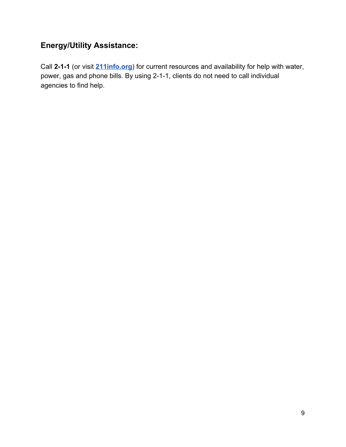# **Energy/Utility Assistance:**

Call **2-1-1** (or visit **[211info.org](http://211info.org/)**) for current resources and availability for help with water, power, gas and phone bills. By using 2-1-1, clients do not need to call individual agencies to find help.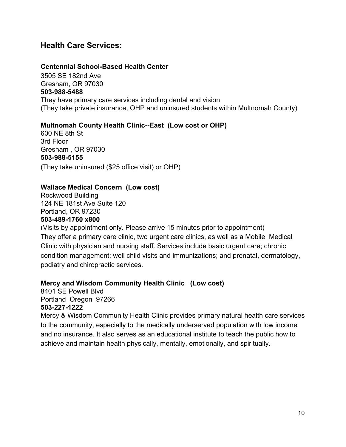## **Health Care Services:**

#### **Centennial School-Based Health Center**

3505 SE 182nd Ave Gresham, OR 97030 **503-988-5488** They have primary care services including dental and vision (They take private insurance, OHP and uninsured students within Multnomah County)

#### **Multnomah County Health Clinic--East (Low cost or OHP)**

600 NE 8th St 3rd Floor Gresham , OR 97030 **503-988-5155** (They take uninsured (\$25 office visit) or OHP)

#### **Wallace Medical Concern (Low cost)**

Rockwood Building 124 NE 181st Ave Suite 120 Portland, OR 97230

#### **503-489-1760 x800**

(Visits by appointment only. Please arrive 15 minutes prior to appointment) They offer a primary care clinic, two urgent care clinics, as well as a Mobile Medical Clinic with physician and nursing staff. Services include basic urgent care; chronic condition management; well child visits and immunizations; and prenatal, dermatology, podiatry and chiropractic services.

#### **Mercy and Wisdom Community Health Clinic (Low cost)**

8401 SE Powell Blvd Portland Oregon 97266 **503-227-1222**

Mercy & Wisdom Community Health Clinic provides primary natural health care services to the community, especially to the medically underserved population with low income and no insurance. It also serves as an educational institute to teach the public how to achieve and maintain health physically, mentally, emotionally, and spiritually.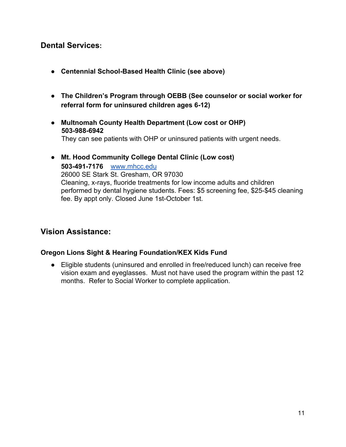## **Dental Services:**

- **● Centennial School-Based Health Clinic (see above)**
- **● The Children's Program through OEBB (See counselor or social worker for referral form for uninsured children ages 6-12)**
- **● Multnomah County Health Department (Low cost or OHP) 503-988-6942** They can see patients with OHP or uninsured patients with urgent needs.
- **Mt. Hood Community College Dental Clinic (Low cost) 503-491-7176** [www.mhcc.edu](http://www.mhcc.edu/) 26000 SE Stark St. Gresham, OR 97030 Cleaning, x-rays, fluoride treatments for low income adults and children performed by dental hygiene students. Fees: \$5 screening fee, \$25-\$45 cleaning fee. By appt only. Closed June 1st-October 1st.

## **Vision Assistance:**

#### **Oregon Lions Sight & Hearing Foundation/KEX Kids Fund**

● Eligible students (uninsured and enrolled in free/reduced lunch) can receive free vision exam and eyeglasses. Must not have used the program within the past 12 months. Refer to Social Worker to complete application.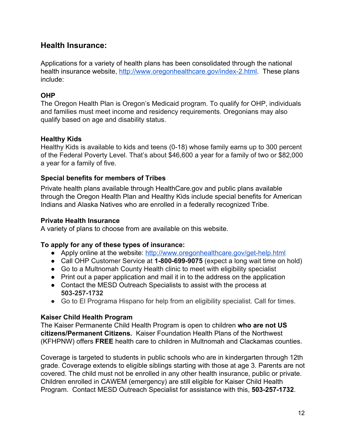## **Health Insurance:**

Applications for a variety of health plans has been consolidated through the national health insurance website, [http://www.oregonhealthcare.gov/index-2.html.](http://www.oregonhealthcare.gov/index-2.html) These plans include:

#### **OHP**

The Oregon Health Plan is Oregon's Medicaid program. To qualify for OHP, individuals and families must meet income and residency requirements. Oregonians may also qualify based on age and disability status.

#### **Healthy Kids**

Healthy Kids is available to kids and teens (0-18) whose family earns up to 300 percent of the Federal Poverty Level. That's about \$46,600 a year for a family of two or \$82,000 a year for a family of five.

#### **Special benefits for members of Tribes**

Private health plans available through HealthCare.gov and public plans available through the Oregon Health Plan and Healthy Kids include special benefits for American Indians and Alaska Natives who are enrolled in a federally recognized Tribe.

#### **Private Health Insurance**

A variety of plans to choose from are available on this website.

#### **To apply for any of these types of insurance:**

- Apply online at the website: <http://www.oregonhealthcare.gov/get-help.html>
- Call OHP Customer Service at **1-800-699-9075** (expect a long wait time on hold)
- Go to a Multnomah County Health clinic to meet with eligibility specialist
- Print out a paper application and mail it in to the address on the application
- Contact the MESD Outreach Specialists to assist with the process at **503-257-1732**
- Go to El Programa Hispano for help from an eligibility specialist. Call for times.

#### **Kaiser Child Health Program**

The Kaiser Permanente Child Health Program is open to children **who are not US citizens/Permanent Citizens.** Kaiser Foundation Health Plans of the Northwest (KFHPNW) offers **FREE** health care to children in Multnomah and Clackamas counties.

Coverage is targeted to students in public schools who are in kindergarten through 12th grade. Coverage extends to eligible siblings starting with those at age 3. Parents are not covered. The child must not be enrolled in any other health insurance, public or private. Children enrolled in CAWEM (emergency) are still eligible for Kaiser Child Health Program. Contact MESD Outreach Specialist for assistance with this, **503-257-1732**.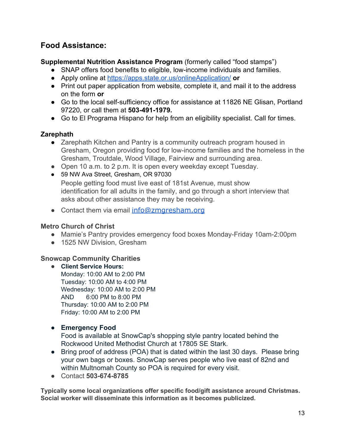# **Food Assistance:**

## **Supplemental Nutrition Assistance Program** (formerly called "food stamps")

- **●** SNAP offers food benefits to eligible, low-income individuals and families.
- **●** Apply online at <https://apps.state.or.us/onlineApplication/> **or**
- **●** Print out paper application from website, complete it, and mail it to the address on the form **or**
- **●** Go to the local self-sufficiency office for assistance at 11826 NE Glisan, Portland 97220, or call them at **503-491-1979.**
- Go to El Programa Hispano for help from an eligibility specialist. Call for times.

## **Zarephath**

- Zarephath Kitchen and Pantry is a community outreach program housed in Gresham, Oregon providing food for low-income families and the homeless in the Gresham, Troutdale, Wood Village, Fairview and surrounding area.
- Open 10 a.m. to 2 p.m. It is open every weekday except Tuesday.
- 59 NW Ava Street, Gresham, OR 97030

People getting food must live east of 181st Avenue, must show identification for all adults in the family, and go through a short interview that asks about other assistance they may be receiving.

• Contact them via email [info@zmgresham.org](mailto:info@zmgresham.org)

## **Metro Church of Christ**

- Mamie's Pantry provides emergency food boxes Monday-Friday 10am-2:00pm
- 1525 NW Division, Gresham

## **Snowcap Community Charities**

- **Client Service Hours:** Monday: 10:00 AM to 2:00 PM Tuesday: 10:00 AM to 4:00 PM Wednesday: 10:00 AM to 2:00 PM AND 6:00 PM to 8:00 PM Thursday: 10:00 AM to 2:00 PM Friday: 10:00 AM to 2:00 PM
- **● Emergency Food**

Food is available at SnowCap's shopping style pantry located behind the Rockwood United Methodist Church at 17805 SE Stark.

- Bring proof of address (POA) that is dated within the last 30 days. Please bring your own bags or boxes. SnowCap serves people who live east of 82nd and within Multnomah County so POA is required for every visit.
- Contact **503-674-8785**

**Typically some local organizations offer specific food/gift assistance around Christmas. Social worker will disseminate this information as it becomes publicized.**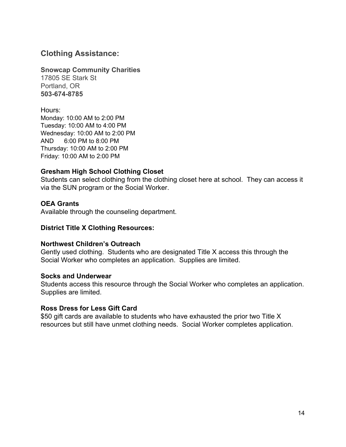## **Clothing Assistance:**

#### **Snowcap Community Charities**

17805 SE Stark St Portland, OR **503-674-8785**

Hours: Monday: 10:00 AM to 2:00 PM Tuesday: 10:00 AM to 4:00 PM Wednesday: 10:00 AM to 2:00 PM AND 6:00 PM to 8:00 PM Thursday: 10:00 AM to 2:00 PM Friday: 10:00 AM to 2:00 PM

#### **Gresham High School Clothing Closet**

Students can select clothing from the clothing closet here at school. They can access it via the SUN program or the Social Worker.

#### **OEA Grants**

Available through the counseling department.

#### **District Title X Clothing Resources:**

#### **Northwest Children's Outreach**

Gently used clothing. Students who are designated Title X access this through the Social Worker who completes an application. Supplies are limited.

#### **Socks and Underwear**

Students access this resource through the Social Worker who completes an application. Supplies are limited.

#### **Ross Dress for Less Gift Card**

\$50 gift cards are available to students who have exhausted the prior two Title X resources but still have unmet clothing needs. Social Worker completes application.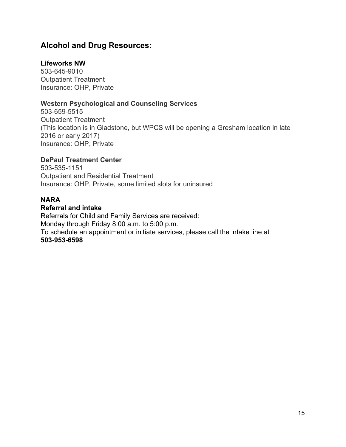## **Alcohol and Drug Resources:**

#### **Lifeworks NW**

503-645-9010 Outpatient Treatment Insurance: OHP, Private

#### **Western Psychological and Counseling Services**

503-659-5515 Outpatient Treatment (This location is in Gladstone, but WPCS will be opening a Gresham location in late 2016 or early 2017) Insurance: OHP, Private

#### **DePaul Treatment Center**

503-535-1151 Outpatient and Residential Treatment Insurance: OHP, Private, some limited slots for uninsured

#### **NARA**

#### **Referral and intake**

Referrals for Child and Family Services are received: Monday through Friday 8:00 a.m. to 5:00 p.m. To schedule an appointment or initiate services, please call the intake line at **503-953-6598**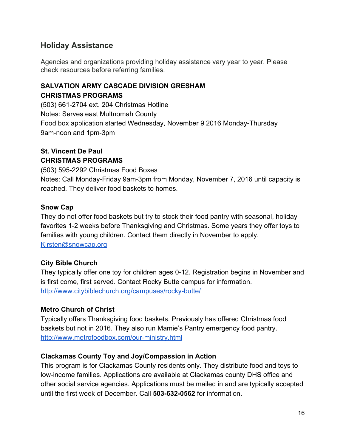# **Holiday Assistance**

Agencies and organizations providing holiday assistance vary year to year. Please check resources before referring families.

## **SALVATION ARMY CASCADE DIVISION GRESHAM CHRISTMAS PROGRAMS**

(503) 661-2704 ext. 204 Christmas Hotline Notes: Serves east Multnomah County Food box application started Wednesday, November 9 2016 Monday-Thursday 9am-noon and 1pm-3pm

## **St. Vincent De Paul CHRISTMAS PROGRAMS**

(503) 595-2292 Christmas Food Boxes Notes: Call Monday-Friday 9am-3pm from Monday, November 7, 2016 until capacity is reached. They deliver food baskets to homes.

#### **Snow Cap**

They do not offer food baskets but try to stock their food pantry with seasonal, holiday favorites 1-2 weeks before Thanksgiving and Christmas. Some years they offer toys to families with young children. Contact them directly in November to apply. [Kirsten@snowcap.org](mailto:Kirsten@snowcap.org)

## **City Bible Church**

They typically offer one toy for children ages 0-12. Registration begins in November and is first come, first served. Contact Rocky Butte campus for information. <http://www.citybiblechurch.org/campuses/rocky-butte/>

## **Metro Church of Christ**

Typically offers Thanksgiving food baskets. Previously has offered Christmas food baskets but not in 2016. They also run Mamie's Pantry emergency food pantry. <http://www.metrofoodbox.com/our-ministry.html>

#### **Clackamas County Toy and Joy/Compassion in Action**

This program is for Clackamas County residents only. They distribute food and toys to low-income families. Applications are available at Clackamas county DHS office and other social service agencies. Applications must be mailed in and are typically accepted until the first week of December. Call **503-632-0562** for information.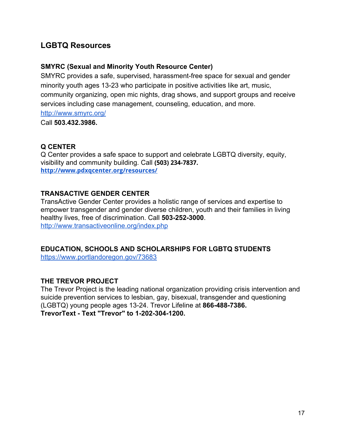# **LGBTQ Resources**

#### **SMYRC (Sexual and Minority Youth Resource Center)**

SMYRC provides a safe, supervised, harassment-free space for sexual and gender minority youth ages 13-23 who participate in positive activities like art, music, community organizing, open mic nights, drag shows, and support groups and receive services including case management, counseling, education, and more.

<http://www.smyrc.org/>

Call **503.432.3986.**

## **Q CENTER**

Q Center provides a safe space to support and celebrate LGBTQ diversity, equity, visibility and community building. Call **(503) 234-7837. <http://www.pdxqcenter.org/resources/>**

#### **TRANSACTIVE GENDER CENTER**

TransActive Gender Center provides a holistic range of services and expertise to empower transgender and gender diverse children, youth and their families in living healthy lives, free of discrimination. Call **503-252-3000**. <http://www.transactiveonline.org/index.php>

## **EDUCATION, SCHOOLS AND SCHOLARSHIPS FOR LGBTQ STUDENTS**

<https://www.portlandoregon.gov/73683>

#### **THE TREVOR PROJECT**

The Trevor Project is the leading national organization providing crisis intervention and suicide prevention services to lesbian, gay, bisexual, transgender and questioning (LGBTQ) young people ages 13-24. Trevor Lifeline at **866-488-7386. TrevorText - Text "Trevor" to 1-202-304-1200.**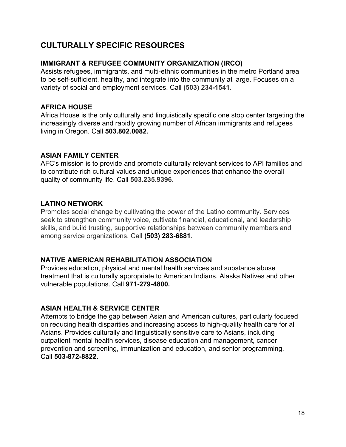# **CULTURALLY SPECIFIC RESOURCES**

#### **IMMIGRANT & REFUGEE COMMUNITY ORGANIZATION (IRCO)**

Assists refugees, immigrants, and multi-ethnic communities in the metro Portland area to be self-sufficient, healthy, and integrate into the community at large. Focuses on a variety of social and employment services. Call **(503) 234-1541**.

#### **AFRICA HOUSE**

Africa House is the only culturally and linguistically specific one stop center targeting the increasingly diverse and rapidly growing number of African immigrants and refugees living in Oregon. Call **503.802.0082.**

#### **ASIAN FAMILY CENTER**

AFC's mission is to provide and promote culturally relevant services to API families and to contribute rich cultural values and unique experiences that enhance the overall quality of community life. Call **503.235.9396.**

#### **LATINO NETWORK**

Promotes social change by cultivating the power of the Latino community. Services seek to strengthen community voice, cultivate financial, educational, and leadership skills, and build trusting, supportive relationships between community members and among service organizations. Call **(503) 283-6881**.

#### **NATIVE AMERICAN REHABILITATION ASSOCIATION**

Provides education, physical and mental health services and substance abuse treatment that is culturally appropriate to American Indians, Alaska Natives and other vulnerable populations. Call **971-279-4800.**

#### **ASIAN HEALTH & SERVICE CENTER**

Attempts to bridge the gap between Asian and American cultures, particularly focused on reducing health disparities and increasing access to high-quality health care for all Asians. Provides culturally and linguistically sensitive care to Asians, including outpatient mental health services, disease education and management, cancer prevention and screening, immunization and education, and senior programming. Call **503-872-8822.**